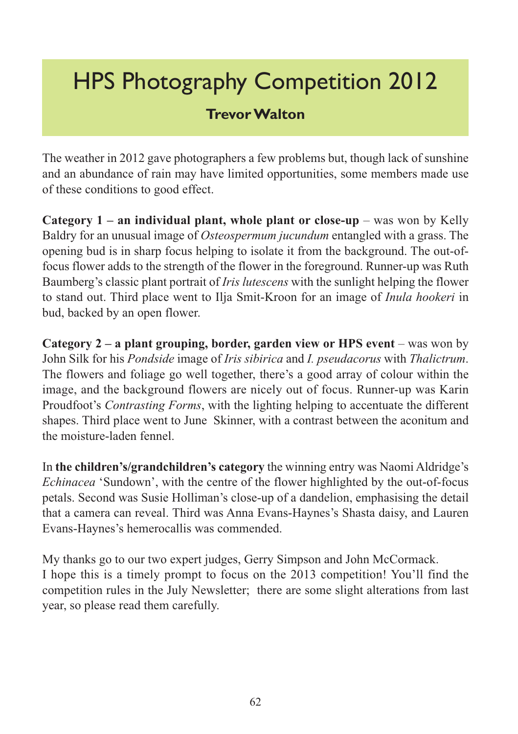# HPS Photography Competition 2012

#### **Trevor Walton**

The weather in 2012 gave photographers a few problems but, though lack of sunshine and an abundance of rain may have limited opportunities, some members made use of these conditions to good effect.

**Category 1 – an individual plant, whole plant or close-up** – was won by Kelly Baldry for an unusual image of *Osteospermum jucundum* entangled with a grass. The opening bud is in sharp focus helping to isolate it from the background. The out-offocus flower adds to the strength of the flower in the foreground. Runner-up was Ruth Baumberg's classic plant portrait of *Iris lutescens* with the sunlight helping the flower to stand out. Third place went to Ilja Smit-Kroon for an image of *Inula hookeri* in bud, backed by an open flower.

**Category 2 – a plant grouping, border, garden view or HPS event** – was won by John Silk for his *Pondside* image of *Iris sibirica* and *I. pseudacorus* with *Thalictrum*. The flowers and foliage go well together, there's a good array of colour within the image, and the background flowers are nicely out of focus. Runner-up was Karin Proudfoot's *Contrasting Forms*, with the lighting helping to accentuate the different shapes. Third place went to June Skinner, with a contrast between the aconitum and the moisture-laden fennel.

In **the children's/grandchildren's category** the winning entry was Naomi Aldridge's *Echinacea* 'Sundown', with the centre of the flower highlighted by the out-of-focus petals. Second was Susie Holliman's close-up of a dandelion, emphasising the detail that a camera can reveal. Third was Anna Evans-Haynes's Shasta daisy, and Lauren Evans-Haynes's hemerocallis was commended.

My thanks go to our two expert judges, Gerry Simpson and John McCormack. I hope this is a timely prompt to focus on the 2013 competition! You'll find the competition rules in the July Newsletter; there are some slight alterations from last year, so please read them carefully.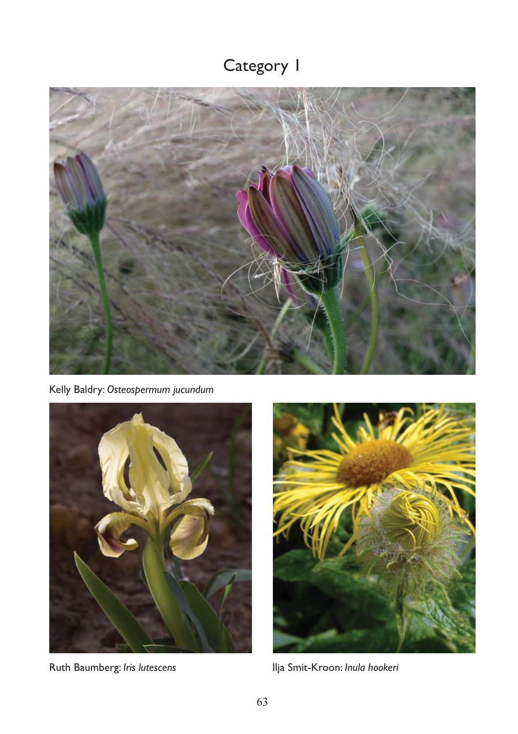## Category 1



Kelly Baldry: *Osteospermum jucundum*



Ruth Baumberg: *Iris lutescens* Ilja Smit-Kroon: *Inula hookeri*

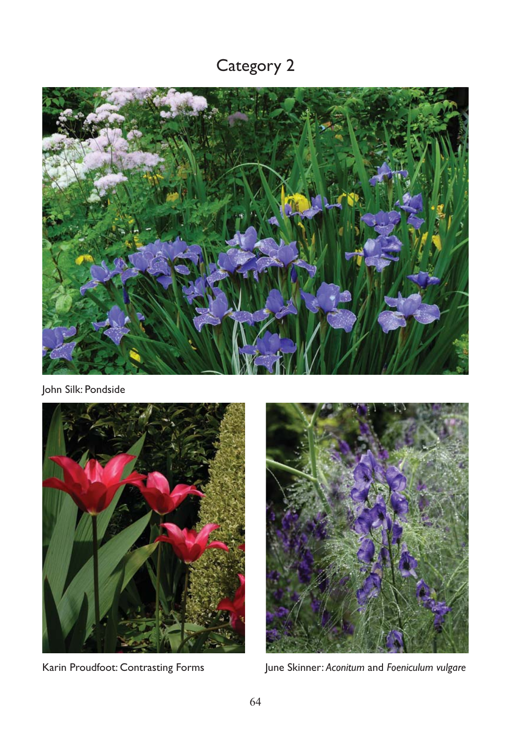## Category 2



John Silk: Pondside





Karin Proudfoot: Contrasting Forms June Skinner: *Aconitum* and *Foeniculum vulgare*